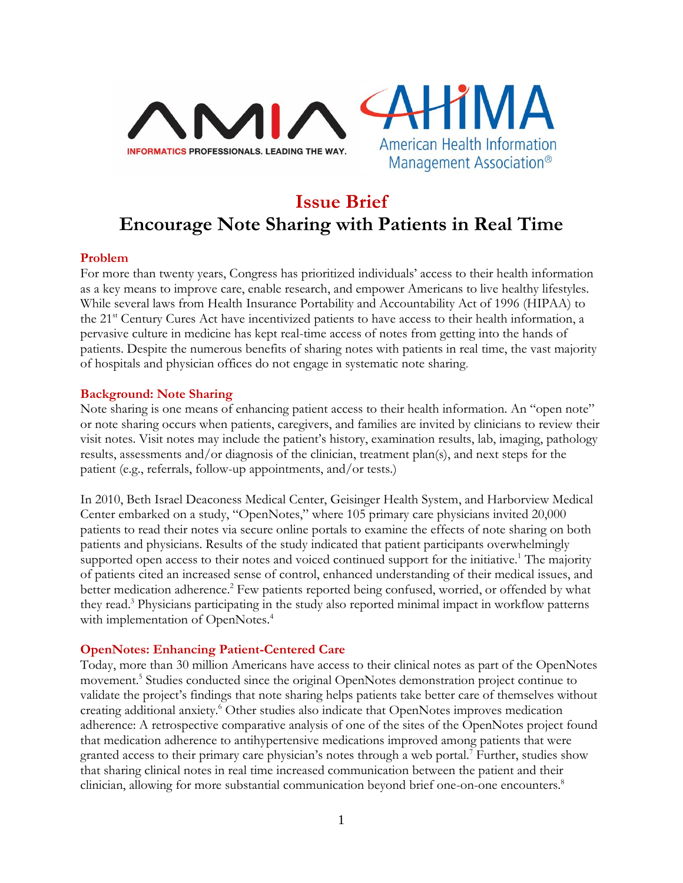



# **Issue Brief Encourage Note Sharing with Patients in Real Time**

## **Problem**

For more than twenty years, Congress has prioritized individuals' access to their health information as a key means to improve care, enable research, and empower Americans to live healthy lifestyles. While several laws from Health Insurance Portability and Accountability Act of 1996 (HIPAA) to the 21<sup>st</sup> Century Cures Act have incentivized patients to have access to their health information, a pervasive culture in medicine has kept real-time access of notes from getting into the hands of patients. Despite the numerous benefits of sharing notes with patients in real time, the vast majority of hospitals and physician offices do not engage in systematic note sharing.

#### **Background: Note Sharing**

Note sharing is one means of enhancing patient access to their health information. An "open note" or note sharing occurs when patients, caregivers, and families are invited by clinicians to review their visit notes. Visit notes may include the patient's history, examination results, lab, imaging, pathology results, assessments and/or diagnosis of the clinician, treatment plan(s), and next steps for the patient (e.g., referrals, follow-up appointments, and/or tests.)

In 2010, Beth Israel Deaconess Medical Center, Geisinger Health System, and Harborview Medical Center embarked on a study, "OpenNotes," where 105 primary care physicians invited 20,000 patients to read their notes via secure online portals to examine the effects of note sharing on both patients and physicians. Results of the study indicated that patient participants overwhelmingly supported open access to their notes and voiced continued support for the initiative.<sup>1</sup> The majority of patients cited an increased sense of control, enhanced understanding of their medical issues, and better medication adherence.<sup>2</sup> Few patients reported being confused, worried, or offended by what they read. <sup>3</sup> Physicians participating in the study also reported minimal impact in workflow patterns with implementation of OpenNotes.<sup>4</sup>

## **OpenNotes: Enhancing Patient-Centered Care**

Today, more than 30 million Americans have access to their clinical notes as part of the OpenNotes movement.<sup>5</sup> Studies conducted since the original OpenNotes demonstration project continue to validate the project's findings that note sharing helps patients take better care of themselves without creating additional anxiety.<sup>6</sup> Other studies also indicate that OpenNotes improves medication adherence: A retrospective comparative analysis of one of the sites of the OpenNotes project found that medication adherence to antihypertensive medications improved among patients that were granted access to their primary care physician's notes through a web portal.<sup>7</sup> Further, studies show that sharing clinical notes in real time increased communication between the patient and their clinician, allowing for more substantial communication beyond brief one-on-one encounters.<sup>8</sup>